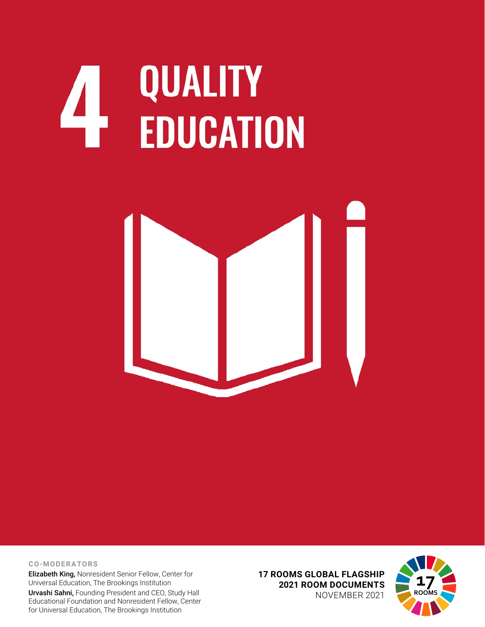## **QUALITY<br>EDUCATION**



**CO-MODERATORS**

Elizabeth King, Nonresident Senior Fellow, Center for Universal Education, The Brookings Institution Urvashi Sahni, Founding President and CEO, Study Hall Educational Foundation and Nonresident Fellow, Center for Universal Education, The Brookings Institution

**17 ROOMS GLOBAL FLAGSHIP 2021 ROOM DOCUMENTS** NOVEMBER 2021

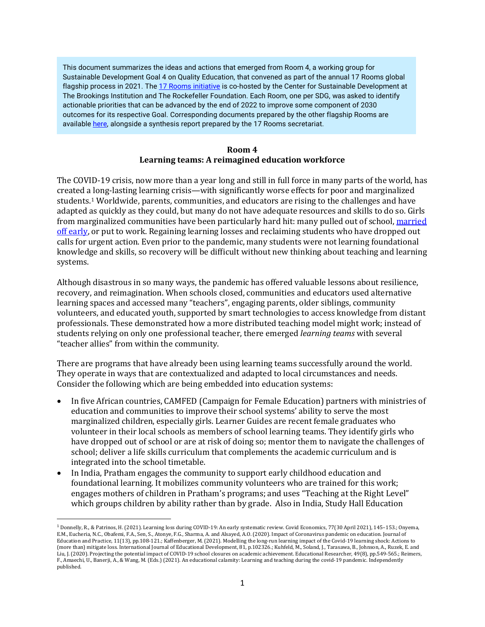This document summarizes the ideas and actions that emerged from Room 4, a working group for Sustainable Development Goal 4 on Quality Education, that convened as part of the annual 17 Rooms global flagship process in 2021. Th[e 17 Rooms initiative](https://www.brookings.edu/project/17-rooms/) is co-hosted by the Center for Sustainable Development at The Brookings Institution and The Rockefeller Foundation. Each Room, one per SDG, was asked to identify actionable priorities that can be advanced by the end of 2022 to improve some component of 2030 outcomes for its respective Goal. Corresponding documents prepared by the other flagship Rooms are availabl[e here,](http://www.brookings.edu/17rooms2021) alongside a synthesis report prepared by the 17 Rooms secretariat.

## **Room 4 Learning teams: A reimagined education workforce**

The COVID-19 crisis, now more than a year long and still in full force in many parts of the world, has created a long-lasting learning crisis—with significantly worse effects for poor and marginalized students.[1](#page-1-0) Worldwide, parents, communities, and educators are rising to the challenges and have adapted as quickly as they could, but many do not have adequate resources and skills to do so. Girls from marginalized communities have been particularly hard hit: many pulled out of school[, married](https://data.unicef.org/resources/covid-19-a-threat-to-progress-against-child-marriage/)  [off early,](https://data.unicef.org/resources/covid-19-a-threat-to-progress-against-child-marriage/) or put to work. Regaining learning losses and reclaiming students who have dropped out calls for urgent action. Even prior to the pandemic, many students were not learning foundational knowledge and skills, so recovery will be difficult without new thinking about teaching and learning systems.

Although disastrous in so many ways, the pandemic has offered valuable lessons about resilience, recovery, and reimagination. When schools closed, communities and educators used alternative learning spaces and accessed many "teachers", engaging parents, older siblings, community volunteers, and educated youth, supported by smart technologies to access knowledge from distant professionals. These demonstrated how a more distributed teaching model might work; instead of students relying on only one professional teacher, there emerged *learning teams* with several "teacher allies" from within the community.

There are programs that have already been using learning teams successfully around the world. They operate in ways that are contextualized and adapted to local circumstances and needs. Consider the following which are being embedded into education systems:

- In five African countries, CAMFED (Campaign for Female Education) partners with ministries of education and communities to improve their school systems' ability to serve the most marginalized children, especially girls. Learner Guides are recent female graduates who volunteer in their local schools as members of school learning teams. They identify girls who have dropped out of school or are at risk of doing so; mentor them to navigate the challenges of school; deliver a life skills curriculum that complements the academic curriculum and is integrated into the school timetable.
- In India, Pratham engages the community to support early childhood education and foundational learning. It mobilizes community volunteers who are trained for this work; engages mothers of children in Pratham's programs; and uses "Teaching at the Right Level" which groups children by ability rather than by grade. Also in India, Study Hall Education

<span id="page-1-0"></span> $1$  Donnelly, R., & Patrinos, H. (2021). Learning loss during COVID-19: An early systematic review. Covid Economics, 77(30 April 2021), 145–153.; Onyema, E.M., Eucheria, N.C., Obafemi, F.A., Sen, S., Atonye, F.G., Sharma, A. and Alsayed, A.O. (2020). Impact of Coronavirus pandemic on education. Journal of Education and Practice, 11(13), pp.108-121.; Kaffenberger, M. (2021). Modelling the long-run learning impact of the Covid-19 learning shock: Actions to (more than) mitigate loss. International Journal of Educational Development, 81, p.102326.; Kuhfeld, M., Soland, J., Tarasawa, B., Johnson, A., Ruzek, E. and Liu, J. (2020). Projecting the potential impact of COVID-19 school closures on academic achievement. Educational Researcher, 49(8), pp.549-565.; Reimers, F., Amaechi, U., Banerji, A., & Wang, M. (Eds.) (2021). An educational calamity: Learning and teaching during the covid-19 pandemic. Independently published.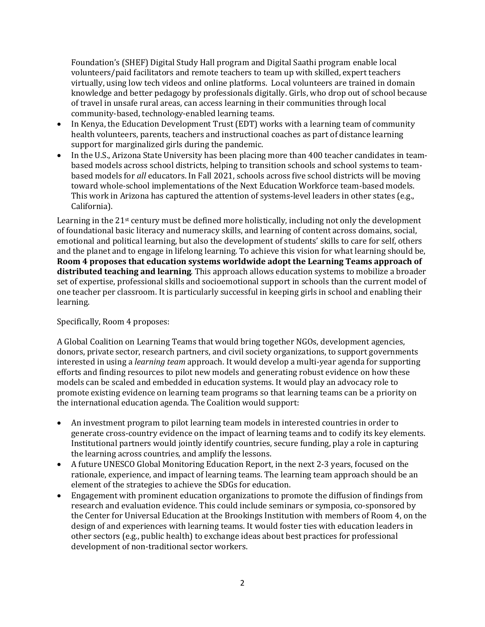Foundation's (SHEF) Digital Study Hall program and Digital Saathi program enable local volunteers/paid facilitators and remote teachers to team up with skilled, expert teachers virtually, using low tech videos and online platforms. Local volunteers are trained in domain knowledge and better pedagogy by professionals digitally. Girls, who drop out of school because of travel in unsafe rural areas, can access learning in their communities through local community-based, technology-enabled learning teams.

- In Kenya, the Education Development Trust (EDT) works with a learning team of community health volunteers, parents, teachers and instructional coaches as part of distance learning support for marginalized girls during the pandemic.
- In the U.S., Arizona State University has been placing more than 400 teacher candidates in teambased models across school districts, helping to transition schools and school systems to teambased models for *all* educators. In Fall 2021, schools across five school districts will be moving toward whole-school implementations of the Next Education Workforce team-based models. This work in Arizona has captured the attention of systems-level leaders in other states (e.g., California).

Learning in the 21st century must be defined more holistically, including not only the development of foundational basic literacy and numeracy skills, and learning of content across domains, social, emotional and political learning, but also the development of students' skills to care for self, others and the planet and to engage in lifelong learning. To achieve this vision for what learning should be, **Room 4 proposes that education systems worldwide adopt the Learning Teams approach of distributed teaching and learning***.* This approach allows education systems to mobilize a broader set of expertise, professional skills and socioemotional support in schools than the current model of one teacher per classroom. It is particularly successful in keeping girls in school and enabling their learning.

## Specifically, Room 4 proposes:

A Global Coalition on Learning Teams that would bring together NGOs, development agencies, donors, private sector, research partners, and civil society organizations, to support governments interested in using a *learning team* approach. It would develop a multi-year agenda for supporting efforts and finding resources to pilot new models and generating robust evidence on how these models can be scaled and embedded in education systems. It would play an advocacy role to promote existing evidence on learning team programs so that learning teams can be a priority on the international education agenda. The Coalition would support:

- An investment program to pilot learning team models in interested countries in order to generate cross-country evidence on the impact of learning teams and to codify its key elements. Institutional partners would jointly identify countries, secure funding, play a role in capturing the learning across countries, and amplify the lessons.
- A future UNESCO Global Monitoring Education Report, in the next 2-3 years, focused on the rationale, experience, and impact of learning teams. The learning team approach should be an element of the strategies to achieve the SDGs for education.
- Engagement with prominent education organizations to promote the diffusion of findings from research and evaluation evidence. This could include seminars or symposia, co-sponsored by the Center for Universal Education at the Brookings Institution with members of Room 4, on the design of and experiences with learning teams. It would foster ties with education leaders in other sectors (e.g., public health) to exchange ideas about best practices for professional development of non-traditional sector workers.